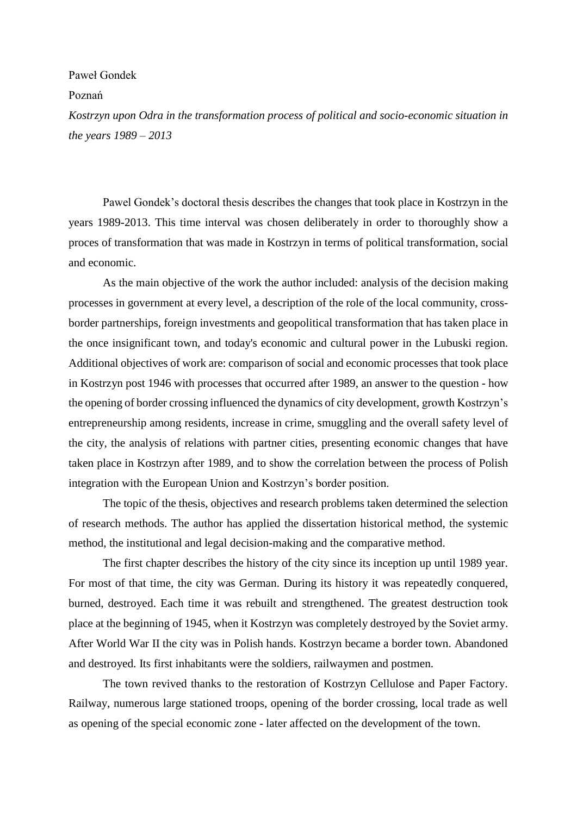## Paweł Gondek

## Poznań

*Kostrzyn upon Odra in the transformation process of political and socio-economic situation in the years 1989 – 2013*

Pawel Gondek's doctoral thesis describes the changes that took place in Kostrzyn in the years 1989-2013. This time interval was chosen deliberately in order to thoroughly show a proces of transformation that was made in Kostrzyn in terms of political transformation, social and economic.

As the main objective of the work the author included: analysis of the decision making processes in government at every level, a description of the role of the local community, crossborder partnerships, foreign investments and geopolitical transformation that has taken place in the once insignificant town, and today's economic and cultural power in the Lubuski region. Additional objectives of work are: comparison of social and economic processes that took place in Kostrzyn post 1946 with processes that occurred after 1989, an answer to the question - how the opening of border crossing influenced the dynamics of city development, growth Kostrzyn's entrepreneurship among residents, increase in crime, smuggling and the overall safety level of the city, the analysis of relations with partner cities, presenting economic changes that have taken place in Kostrzyn after 1989, and to show the correlation between the process of Polish integration with the European Union and Kostrzyn's border position.

The topic of the thesis, objectives and research problems taken determined the selection of research methods. The author has applied the dissertation historical method, the systemic method, the institutional and legal decision-making and the comparative method.

The first chapter describes the history of the city since its inception up until 1989 year. For most of that time, the city was German. During its history it was repeatedly conquered, burned, destroyed. Each time it was rebuilt and strengthened. The greatest destruction took place at the beginning of 1945, when it Kostrzyn was completely destroyed by the Soviet army. After World War II the city was in Polish hands. Kostrzyn became a border town. Abandoned and destroyed. Its first inhabitants were the soldiers, railwaymen and postmen.

The town revived thanks to the restoration of Kostrzyn Cellulose and Paper Factory. Railway, numerous large stationed troops, opening of the border crossing, local trade as well as opening of the special economic zone - later affected on the development of the town.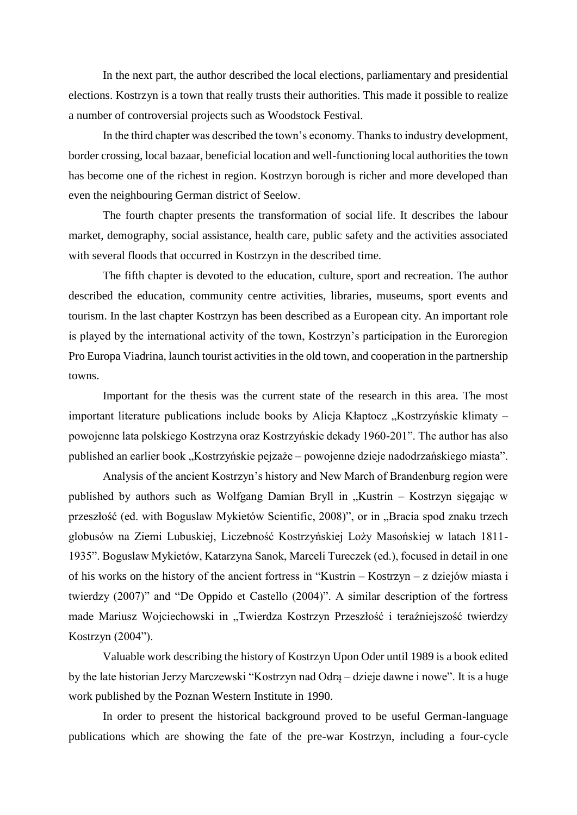In the next part, the author described the local elections, parliamentary and presidential elections. Kostrzyn is a town that really trusts their authorities. This made it possible to realize a number of controversial projects such as Woodstock Festival.

In the third chapter was described the town's economy. Thanks to industry development, border crossing, local bazaar, beneficial location and well-functioning local authorities the town has become one of the richest in region. Kostrzyn borough is richer and more developed than even the neighbouring German district of Seelow.

The fourth chapter presents the transformation of social life. It describes the labour market, demography, social assistance, health care, public safety and the activities associated with several floods that occurred in Kostrzyn in the described time.

The fifth chapter is devoted to the education, culture, sport and recreation. The author described the education, community centre activities, libraries, museums, sport events and tourism. In the last chapter Kostrzyn has been described as a European city. An important role is played by the international activity of the town, Kostrzyn's participation in the Euroregion Pro Europa Viadrina, launch tourist activities in the old town, and cooperation in the partnership towns.

Important for the thesis was the current state of the research in this area. The most important literature publications include books by Alicja Kłaptocz "Kostrzyńskie klimaty – powojenne lata polskiego Kostrzyna oraz Kostrzyńskie dekady 1960-201". The author has also published an earlier book "Kostrzyńskie pejzaże – powojenne dzieje nadodrzańskiego miasta".

Analysis of the ancient Kostrzyn's history and New March of Brandenburg region were published by authors such as Wolfgang Damian Bryll in "Kustrin – Kostrzyn sięgając w przeszłość (ed. with Boguslaw Mykietów Scientific, 2008)", or in "Bracia spod znaku trzech globusów na Ziemi Lubuskiej, Liczebność Kostrzyńskiej Loży Masońskiej w latach 1811- 1935". Boguslaw Mykietów, Katarzyna Sanok, Marceli Tureczek (ed.), focused in detail in one of his works on the history of the ancient fortress in "Kustrin – Kostrzyn – z dziejów miasta i twierdzy (2007)" and "De Oppido et Castello (2004)". A similar description of the fortress made Mariusz Wojciechowski in "Twierdza Kostrzyn Przeszłość i teraźniejszość twierdzy Kostrzyn (2004").

Valuable work describing the history of Kostrzyn Upon Oder until 1989 is a book edited by the late historian Jerzy Marczewski "Kostrzyn nad Odrą – dzieje dawne i nowe". It is a huge work published by the Poznan Western Institute in 1990.

In order to present the historical background proved to be useful German-language publications which are showing the fate of the pre-war Kostrzyn, including a four-cycle